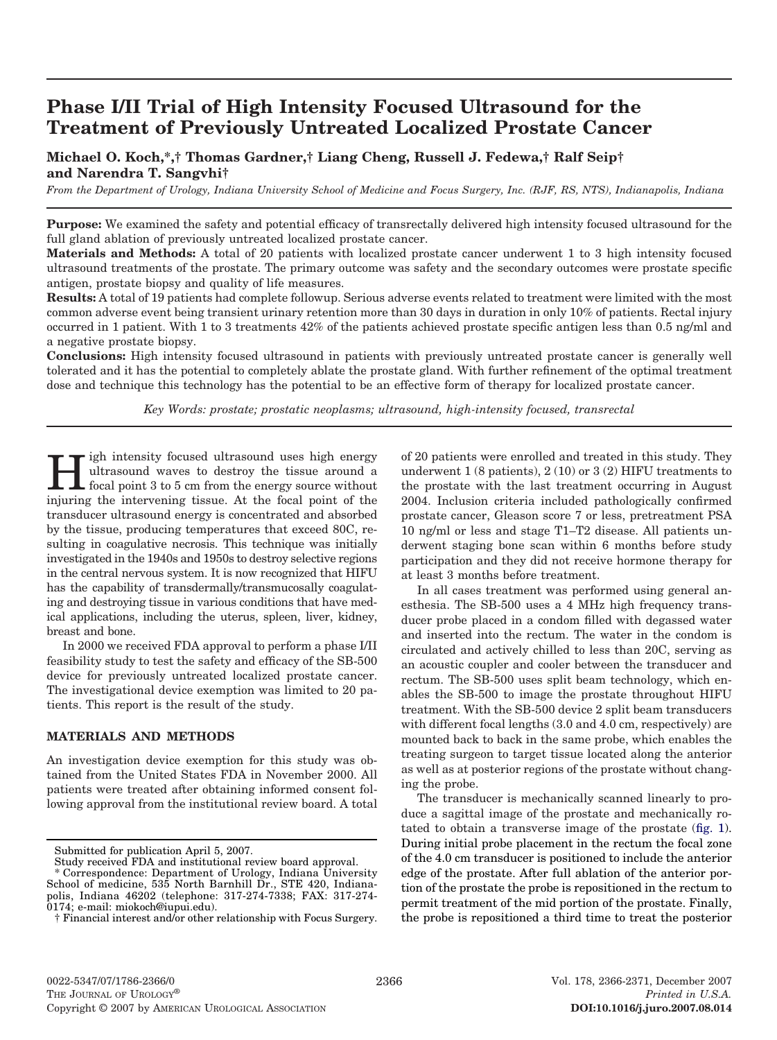# **Phase I/II Trial of High Intensity Focused Ultrasound for the Treatment of Previously Untreated Localized Prostate Cancer**

## **Michael O. Koch,\*,† Thomas Gardner,† Liang Cheng, Russell J. Fedewa,† Ralf Seip† and Narendra T. Sangvhi†**

*From the Department of Urology, Indiana University School of Medicine and Focus Surgery, Inc. (RJF, RS, NTS), Indianapolis, Indiana*

**Purpose:** We examined the safety and potential efficacy of transrectally delivered high intensity focused ultrasound for the full gland ablation of previously untreated localized prostate cancer.

**Materials and Methods:** A total of 20 patients with localized prostate cancer underwent 1 to 3 high intensity focused ultrasound treatments of the prostate. The primary outcome was safety and the secondary outcomes were prostate specific antigen, prostate biopsy and quality of life measures.

**Results:** A total of 19 patients had complete followup. Serious adverse events related to treatment were limited with the most common adverse event being transient urinary retention more than 30 days in duration in only 10% of patients. Rectal injury occurred in 1 patient. With 1 to 3 treatments 42% of the patients achieved prostate specific antigen less than 0.5 ng/ml and a negative prostate biopsy.

**Conclusions:** High intensity focused ultrasound in patients with previously untreated prostate cancer is generally well tolerated and it has the potential to completely ablate the prostate gland. With further refinement of the optimal treatment dose and technique this technology has the potential to be an effective form of therapy for localized prostate cancer.

*Key Words: prostate; prostatic neoplasms; ultrasound, high-intensity focused, transrectal*

**Hermital intensity focused ultrasound uses high energy**<br>focal point 3 to 5 cm from the energy source without<br>intensity the intermedian times at the focal point of the ultrasound waves to destroy the tissue around a injuring the intervening tissue. At the focal point of the transducer ultrasound energy is concentrated and absorbed by the tissue, producing temperatures that exceed 80C, resulting in coagulative necrosis. This technique was initially investigated in the 1940s and 1950s to destroy selective regions in the central nervous system. It is now recognized that HIFU has the capability of transdermally/transmucosally coagulating and destroying tissue in various conditions that have medical applications, including the uterus, spleen, liver, kidney, breast and bone.

In 2000 we received FDA approval to perform a phase I/II feasibility study to test the safety and efficacy of the SB-500 device for previously untreated localized prostate cancer. The investigational device exemption was limited to 20 patients. This report is the result of the study.

## **MATERIALS AND METHODS**

An investigation device exemption for this study was obtained from the United States FDA in November 2000. All patients were treated after obtaining informed consent following approval from the institutional review board. A total of 20 patients were enrolled and treated in this study. They underwent 1 (8 patients), 2 (10) or 3 (2) HIFU treatments to the prostate with the last treatment occurring in August 2004. Inclusion criteria included pathologically confirmed prostate cancer, Gleason score 7 or less, pretreatment PSA 10 ng/ml or less and stage T1–T2 disease. All patients underwent staging bone scan within 6 months before study participation and they did not receive hormone therapy for at least 3 months before treatment.

In all cases treatment was performed using general anesthesia. The SB-500 uses a 4 MHz high frequency transducer probe placed in a condom filled with degassed water and inserted into the rectum. The water in the condom is circulated and actively chilled to less than 20C, serving as an acoustic coupler and cooler between the transducer and rectum. The SB-500 uses split beam technology, which enables the SB-500 to image the prostate throughout HIFU treatment. With the SB-500 device 2 split beam transducers with different focal lengths (3.0 and 4.0 cm, respectively) are mounted back to back in the same probe, which enables the treating surgeon to target tissue located along the anterior as well as at posterior regions of the prostate without changing the probe.

The transducer is mechanically scanned linearly to produce a sagittal image of the prostate and mechanically rotated to obtain a transverse image of the prostate [\(fig. 1\)](#page-1-0). During initial probe placement in the rectum the focal zone of the 4.0 cm transducer is positioned to include the anterior edge of the prostate. After full ablation of the anterior portion of the prostate the probe is repositioned in the rectum to permit treatment of the mid portion of the prostate. Finally, the probe is repositioned a third time to treat the posterior

Submitted for publication April 5, 2007.

Study received FDA and institutional review board approval.

<sup>\*</sup> Correspondence: Department of Urology, Indiana University School of medicine, 535 North Barnhill Dr., STE 420, Indianapolis, Indiana 46202 (telephone: 317-274-7338; FAX: 317-274- 0174; e-mail: miokoch@iupui.edu).

<sup>†</sup> Financial interest and/or other relationship with Focus Surgery.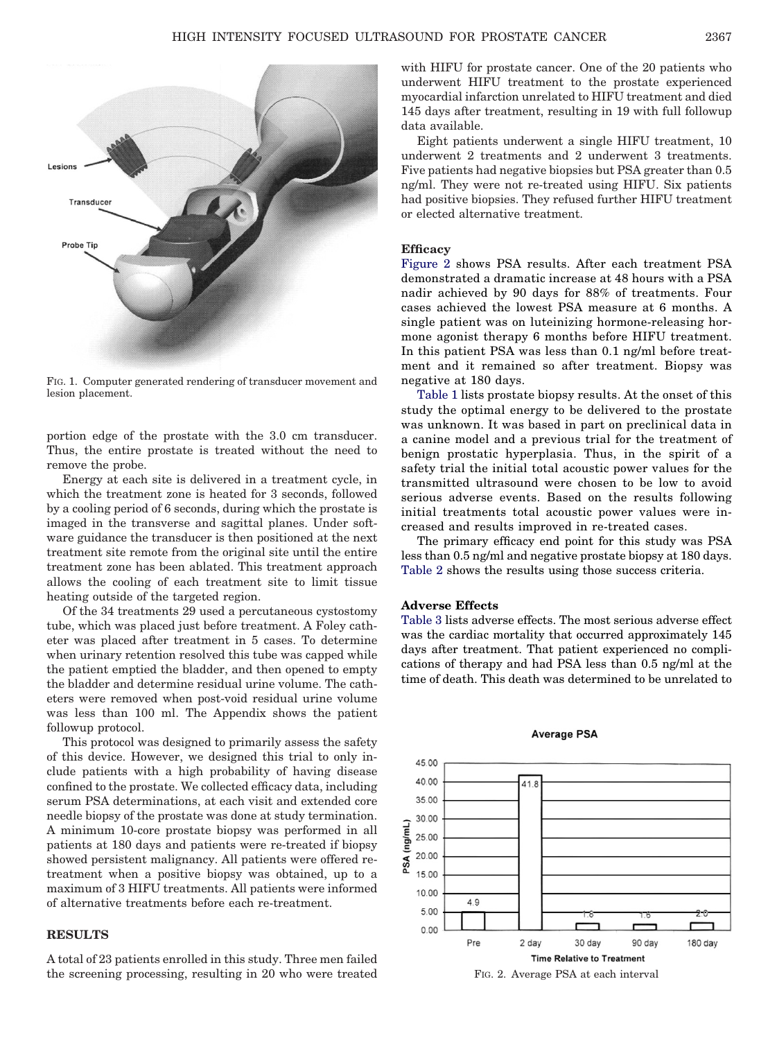<span id="page-1-0"></span>

FIG. 1. Computer generated rendering of transducer movement and lesion placement.

portion edge of the prostate with the 3.0 cm transducer. Thus, the entire prostate is treated without the need to remove the probe.

Energy at each site is delivered in a treatment cycle, in which the treatment zone is heated for 3 seconds, followed by a cooling period of 6 seconds, during which the prostate is imaged in the transverse and sagittal planes. Under software guidance the transducer is then positioned at the next treatment site remote from the original site until the entire treatment zone has been ablated. This treatment approach allows the cooling of each treatment site to limit tissue heating outside of the targeted region.

Of the 34 treatments 29 used a percutaneous cystostomy tube, which was placed just before treatment. A Foley catheter was placed after treatment in 5 cases. To determine when urinary retention resolved this tube was capped while the patient emptied the bladder, and then opened to empty the bladder and determine residual urine volume. The catheters were removed when post-void residual urine volume was less than 100 ml. The Appendix shows the patient followup protocol.

This protocol was designed to primarily assess the safety of this device. However, we designed this trial to only include patients with a high probability of having disease confined to the prostate. We collected efficacy data, including serum PSA determinations, at each visit and extended core needle biopsy of the prostate was done at study termination. A minimum 10-core prostate biopsy was performed in all patients at 180 days and patients were re-treated if biopsy showed persistent malignancy. All patients were offered retreatment when a positive biopsy was obtained, up to a maximum of 3 HIFU treatments. All patients were informed of alternative treatments before each re-treatment.

## **RESULTS**

A total of 23 patients enrolled in this study. Three men failed the screening processing, resulting in 20 who were treated with HIFU for prostate cancer. One of the 20 patients who underwent HIFU treatment to the prostate experienced myocardial infarction unrelated to HIFU treatment and died 145 days after treatment, resulting in 19 with full followup data available.

Eight patients underwent a single HIFU treatment, 10 underwent 2 treatments and 2 underwent 3 treatments. Five patients had negative biopsies but PSA greater than 0.5 ng/ml. They were not re-treated using HIFU. Six patients had positive biopsies. They refused further HIFU treatment or elected alternative treatment.

#### **Efficacy**

Figure 2 shows PSA results. After each treatment PSA demonstrated a dramatic increase at 48 hours with a PSA nadir achieved by 90 days for 88% of treatments. Four cases achieved the lowest PSA measure at 6 months. A single patient was on luteinizing hormone-releasing hormone agonist therapy 6 months before HIFU treatment. In this patient PSA was less than 0.1 ng/ml before treatment and it remained so after treatment. Biopsy was negative at 180 days.

[Table 1](#page-2-0) lists prostate biopsy results. At the onset of this study the optimal energy to be delivered to the prostate was unknown. It was based in part on preclinical data in a canine model and a previous trial for the treatment of benign prostatic hyperplasia. Thus, in the spirit of a safety trial the initial total acoustic power values for the transmitted ultrasound were chosen to be low to avoid serious adverse events. Based on the results following initial treatments total acoustic power values were increased and results improved in re-treated cases.

The primary efficacy end point for this study was PSA less than 0.5 ng/ml and negative prostate biopsy at 180 days. [Table 2](#page-2-0) shows the results using those success criteria.

## **Adverse Effects**

[Table 3](#page-2-0) lists adverse effects. The most serious adverse effect was the cardiac mortality that occurred approximately 145 days after treatment. That patient experienced no complications of therapy and had PSA less than 0.5 ng/ml at the time of death. This death was determined to be unrelated to



## **Average PSA**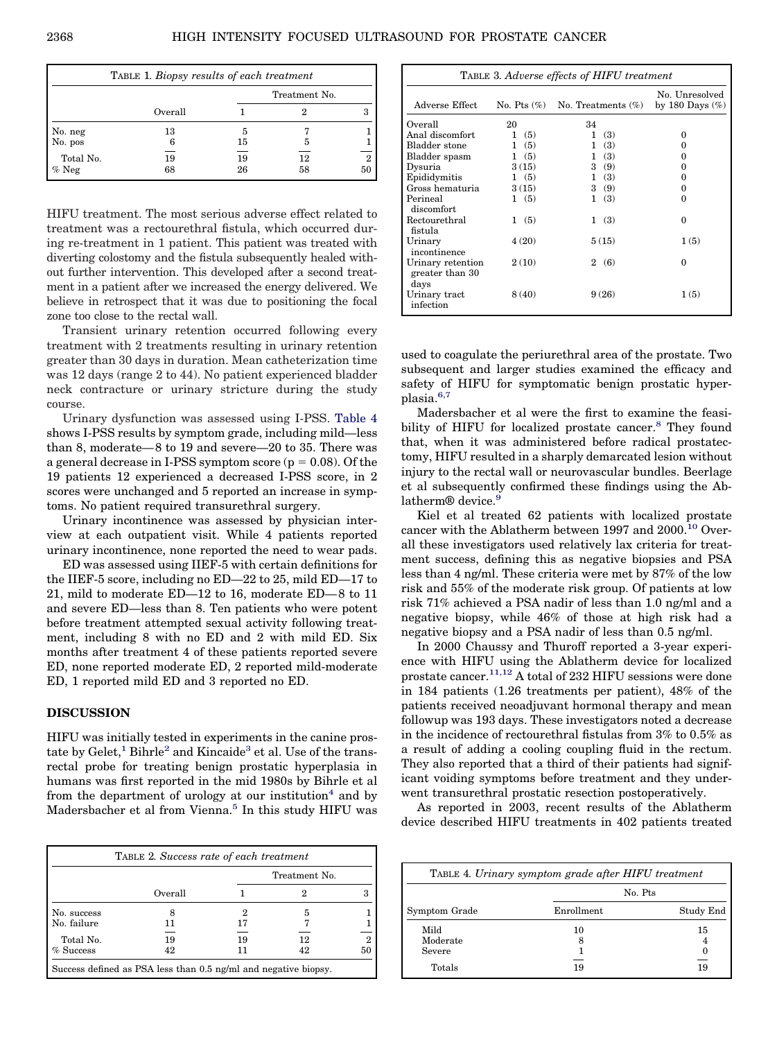<span id="page-2-0"></span>

| TABLE 1. Biopsy results of each treatment |          |          |               |                      |
|-------------------------------------------|----------|----------|---------------|----------------------|
|                                           |          |          | Treatment No. |                      |
|                                           | Overall  |          |               |                      |
| No. neg                                   | 13       | 5        |               |                      |
| No. pos                                   |          | 15       | 5             |                      |
| Total No.<br>$\%$ Neg                     | 19<br>68 | 19<br>26 | 12<br>58      | $\overline{2}$<br>50 |

HIFU treatment. The most serious adverse effect related to treatment was a rectourethral fistula, which occurred during re-treatment in 1 patient. This patient was treated with diverting colostomy and the fistula subsequently healed without further intervention. This developed after a second treatment in a patient after we increased the energy delivered. We believe in retrospect that it was due to positioning the focal zone too close to the rectal wall.

Transient urinary retention occurred following every treatment with 2 treatments resulting in urinary retention greater than 30 days in duration. Mean catheterization time was 12 days (range 2 to 44). No patient experienced bladder neck contracture or urinary stricture during the study course.

Urinary dysfunction was assessed using I-PSS. Table 4 shows I-PSS results by symptom grade, including mild—less than 8, moderate— 8 to 19 and severe—20 to 35. There was a general decrease in I-PSS symptom score ( $p = 0.08$ ). Of the 19 patients 12 experienced a decreased I-PSS score, in 2 scores were unchanged and 5 reported an increase in symptoms. No patient required transurethral surgery.

Urinary incontinence was assessed by physician interview at each outpatient visit. While 4 patients reported urinary incontinence, none reported the need to wear pads.

ED was assessed using IIEF-5 with certain definitions for the IIEF-5 score, including no ED—22 to 25, mild ED—17 to 21, mild to moderate ED—12 to 16, moderate ED— 8 to 11 and severe ED—less than 8. Ten patients who were potent before treatment attempted sexual activity following treatment, including 8 with no ED and 2 with mild ED. Six months after treatment 4 of these patients reported severe ED, none reported moderate ED, 2 reported mild-moderate ED, 1 reported mild ED and 3 reported no ED.

## **DISCUSSION**

HIFU was initially tested in experiments in the canine prostate by  $Gelet$ ,<sup>1</sup> Bihrle<sup>2</sup> and Kincaide<sup>3</sup> et al. Use of the transrectal probe for treating benign prostatic hyperplasia in humans was first reported in the mid 1980s by Bihrle et al from the department of urology at our institution<sup>4</sup> and by Madersbacher et al from Vienna.<sup>5</sup> In this study HIFU was

|             |         |    | Treatment No. |    |
|-------------|---------|----|---------------|----|
|             | Overall |    |               |    |
| No. success |         |    | 5             |    |
| No. failure | וו      | 17 |               |    |
| Total No.   | 19      | 19 | 12            |    |
| $%$ Success | 42      | וו | 42            | 50 |

| TABLE 3. Adverse effects of HIFU treatment   |       |                                      |                                      |
|----------------------------------------------|-------|--------------------------------------|--------------------------------------|
| Adverse Effect                               |       | No. Pts $(\%)$ No. Treatments $(\%)$ | No. Unresolved<br>by 180 Days $(\%)$ |
| Overall                                      | 20    | 34                                   |                                      |
| Anal discomfort                              | 1(5)  | 1<br>(3)                             | 0                                    |
| Bladder stone                                | 1(5)  | (3)<br>$\mathbf{1}$                  | $_{0}$                               |
| Bladder spasm                                | 1(5)  | (3)<br>$\mathbf{1}$                  | 0                                    |
| Dysuria                                      | 3(15) | 3(9)                                 | 0                                    |
| Epididymitis                                 | 1(5)  | 1(3)                                 | 0                                    |
| Gross hematuria                              | 3(15) | 3(9)                                 | 0                                    |
| Perineal<br>discomfort                       | 1(5)  | 1(3)                                 | 0                                    |
| Rectourethral<br>fistula                     | 1(5)  | (3)<br>1                             | $\Omega$                             |
| Urinary<br>incontinence                      | 4(20) | 5(15)                                | 1(5)                                 |
| Urinary retention<br>greater than 30<br>days | 2(10) | 2(6)                                 | $\Omega$                             |
| Urinary tract<br>infection                   | 8(40) | 9(26)                                | 1(5)                                 |

used to coagulate the periurethral area of the prostate. Two subsequent and larger studies examined the efficacy and safety of HIFU for symptomatic benign prostatic hyperplasia.<sup>6,7</sup>

Madersbacher et al were the first to examine the feasibility of HIFU for localized prostate cancer.<sup>8</sup> They found that, when it was administered before radical prostatectomy, HIFU resulted in a sharply demarcated lesion without injury to the rectal wall or neurovascular bundles. Beerlage et al subsequently confirmed these findings using the Ablatherm<sup>®</sup> device.<sup>9</sup>

Kiel et al treated 62 patients with localized prostate cancer with the Ablatherm between 1997 and 2000.<sup>10</sup> Overall these investigators used relatively lax criteria for treatment success, defining this as negative biopsies and PSA less than 4 ng/ml. These criteria were met by 87% of the low risk and 55% of the moderate risk group. Of patients at low risk 71% achieved a PSA nadir of less than 1.0 ng/ml and a negative biopsy, while 46% of those at high risk had a negative biopsy and a PSA nadir of less than 0.5 ng/ml.

In 2000 Chaussy and Thuroff reported a 3-year experience with HIFU using the Ablatherm device for localized prostate cancer.<sup>11,12</sup> A total of 232 HIFU sessions were done in 184 patients (1.26 treatments per patient), 48% of the patients received neoadjuvant hormonal therapy and mean followup was 193 days. These investigators noted a decrease in the incidence of rectourethral fistulas from 3% to 0.5% as a result of adding a cooling coupling fluid in the rectum. They also reported that a third of their patients had significant voiding symptoms before treatment and they underwent transurethral prostatic resection postoperatively.

As reported in 2003, recent results of the Ablatherm device described HIFU treatments in 402 patients treated

|               | TABLE 4. Urinary symptom grade after HIFU treatment |           |
|---------------|-----------------------------------------------------|-----------|
|               | No. Pts                                             |           |
| Symptom Grade | Enrollment                                          | Study End |
| Mild          | 10                                                  | 15        |
| Moderate      |                                                     |           |
| Severe        |                                                     |           |
| Totals        | 19                                                  | 19        |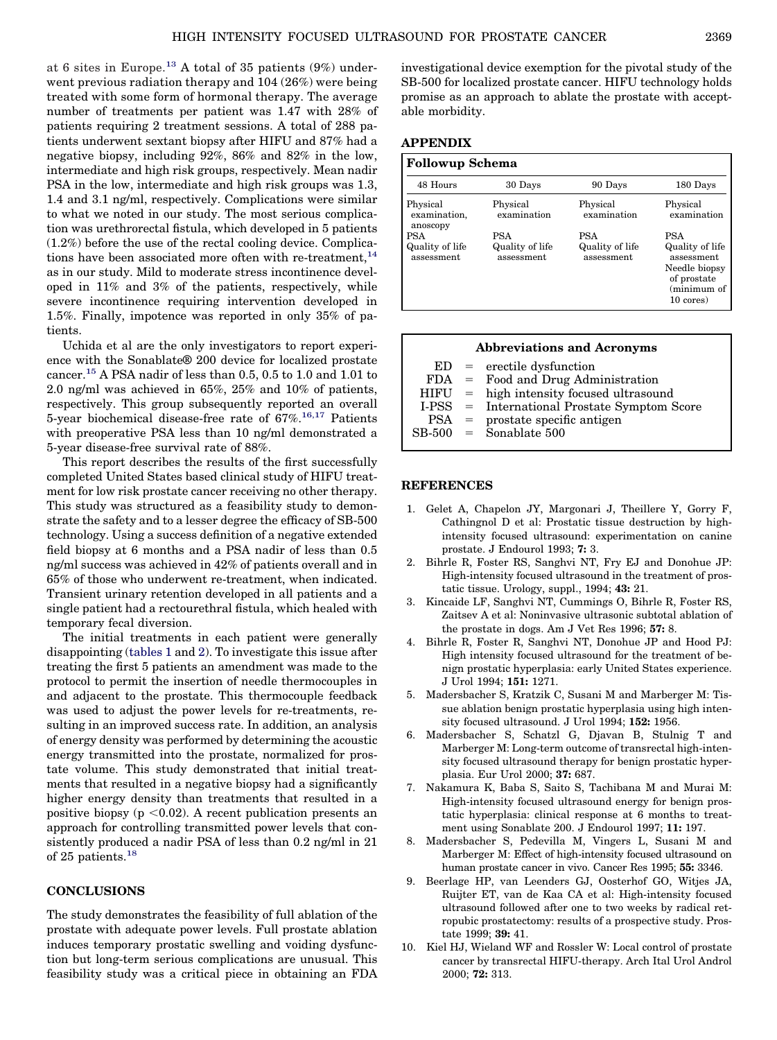<span id="page-3-0"></span>at 6 sites in Europe.<sup>[13](#page-4-0)</sup> A total of 35 patients  $(9%)$  underwent previous radiation therapy and 104 (26%) were being treated with some form of hormonal therapy. The average number of treatments per patient was 1.47 with 28% of patients requiring 2 treatment sessions. A total of 288 patients underwent sextant biopsy after HIFU and 87% had a negative biopsy, including 92%, 86% and 82% in the low, intermediate and high risk groups, respectively. Mean nadir PSA in the low, intermediate and high risk groups was 1.3, 1.4 and 3.1 ng/ml, respectively. Complications were similar to what we noted in our study. The most serious complication was urethrorectal fistula, which developed in 5 patients (1.2%) before the use of the rectal cooling device. Complications have been associated more often with re-treatment,  $14$ as in our study. Mild to moderate stress incontinence developed in 11% and 3% of the patients, respectively, while severe incontinence requiring intervention developed in 1.5%. Finally, impotence was reported in only 35% of patients.

Uchida et al are the only investigators to report experience with the Sonablate® 200 device for localized prostate cancer[.15](#page-4-0) A PSA nadir of less than 0.5, 0.5 to 1.0 and 1.01 to 2.0 ng/ml was achieved in 65%, 25% and 10% of patients, respectively. This group subsequently reported an overall 5-year biochemical disease-free rate of  $67\%$ .<sup>16,17</sup> Patients with preoperative PSA less than 10 ng/ml demonstrated a 5-year disease-free survival rate of 88%.

This report describes the results of the first successfully completed United States based clinical study of HIFU treatment for low risk prostate cancer receiving no other therapy. This study was structured as a feasibility study to demonstrate the safety and to a lesser degree the efficacy of SB-500 technology. Using a success definition of a negative extended field biopsy at 6 months and a PSA nadir of less than 0.5 ng/ml success was achieved in 42% of patients overall and in 65% of those who underwent re-treatment, when indicated. Transient urinary retention developed in all patients and a single patient had a rectourethral fistula, which healed with temporary fecal diversion.

The initial treatments in each patient were generally disappointing [\(tables 1](#page-2-0) and [2\)](#page-2-0). To investigate this issue after treating the first 5 patients an amendment was made to the protocol to permit the insertion of needle thermocouples in and adjacent to the prostate. This thermocouple feedback was used to adjust the power levels for re-treatments, resulting in an improved success rate. In addition, an analysis of energy density was performed by determining the acoustic energy transmitted into the prostate, normalized for prostate volume. This study demonstrated that initial treatments that resulted in a negative biopsy had a significantly higher energy density than treatments that resulted in a positive biopsy  $(p \le 0.02)$ . A recent publication presents an approach for controlling transmitted power levels that consistently produced a nadir PSA of less than 0.2 ng/ml in 21 of 25 patients.<sup>18</sup>

## **CONCLUSIONS**

The study demonstrates the feasibility of full ablation of the prostate with adequate power levels. Full prostate ablation induces temporary prostatic swelling and voiding dysfunction but long-term serious complications are unusual. This feasibility study was a critical piece in obtaining an FDA

investigational device exemption for the pivotal study of the SB-500 for localized prostate cancer. HIFU technology holds promise as an approach to ablate the prostate with acceptable morbidity.

### **APPENDIX**

| <b>Followup Schema</b>                      |                                      |                                             |                                                                                                         |
|---------------------------------------------|--------------------------------------|---------------------------------------------|---------------------------------------------------------------------------------------------------------|
| 48 Hours                                    | 30 Days                              | 90 Days                                     | 180 Days                                                                                                |
| Physical<br>examination,<br>anoscopy        | Physical<br>examination              | Physical<br>examination                     | Physical<br>examination                                                                                 |
| <b>PSA</b><br>Quality of life<br>assessment | PSA<br>Quality of life<br>assessment | <b>PSA</b><br>Quality of life<br>assessment | <b>PSA</b><br>Quality of life<br>assessment<br>Needle biopsy<br>of prostate<br>(minimum of<br>10 cores) |

| <b>Abbreviations and Acronyms</b> |  |                                              |  |  |
|-----------------------------------|--|----------------------------------------------|--|--|
|                                   |  | $ED = \text{erectile}$ dysfunction           |  |  |
|                                   |  | $FDA =$ Food and Drug Administration         |  |  |
|                                   |  | $HIFU = high intensity focused ultrasound$   |  |  |
|                                   |  | I-PSS = International Prostate Symptom Score |  |  |
|                                   |  | $PSA =$ prostate specific antigen            |  |  |
|                                   |  | $SB-500 =$ Sonablate 500                     |  |  |

## **REFERENCES**

- 1. Gelet A, Chapelon JY, Margonari J, Theillere Y, Gorry F, Cathingnol D et al: Prostatic tissue destruction by highintensity focused ultrasound: experimentation on canine prostate. J Endourol 1993; **7:** 3.
- 2. Bihrle R, Foster RS, Sanghvi NT, Fry EJ and Donohue JP: High-intensity focused ultrasound in the treatment of prostatic tissue. Urology, suppl., 1994; **43:** 21.
- 3. Kincaide LF, Sanghvi NT, Cummings O, Bihrle R, Foster RS, Zaitsev A et al: Noninvasive ultrasonic subtotal ablation of the prostate in dogs. Am J Vet Res 1996; **57:** 8.
- 4. Bihrle R, Foster R, Sanghvi NT, Donohue JP and Hood PJ: High intensity focused ultrasound for the treatment of benign prostatic hyperplasia: early United States experience. J Urol 1994; **151:** 1271.
- 5. Madersbacher S, Kratzik C, Susani M and Marberger M: Tissue ablation benign prostatic hyperplasia using high intensity focused ultrasound. J Urol 1994; **152:** 1956.
- 6. Madersbacher S, Schatzl G, Djavan B, Stulnig T and Marberger M: Long-term outcome of transrectal high-intensity focused ultrasound therapy for benign prostatic hyperplasia. Eur Urol 2000; **37:** 687.
- 7. Nakamura K, Baba S, Saito S, Tachibana M and Murai M: High-intensity focused ultrasound energy for benign prostatic hyperplasia: clinical response at 6 months to treatment using Sonablate 200. J Endourol 1997; **11:** 197.
- 8. Madersbacher S, Pedevilla M, Vingers L, Susani M and Marberger M: Effect of high-intensity focused ultrasound on human prostate cancer in vivo. Cancer Res 1995; **55:** 3346.
- 9. Beerlage HP, van Leenders GJ, Oosterhof GO, Witjes JA, Ruijter ET, van de Kaa CA et al: High-intensity focused ultrasound followed after one to two weeks by radical retropubic prostatectomy: results of a prospective study. Prostate 1999; **39:** 41.
- 10. Kiel HJ, Wieland WF and Rossler W: Local control of prostate cancer by transrectal HIFU-therapy. Arch Ital Urol Androl 2000; **72:** 313.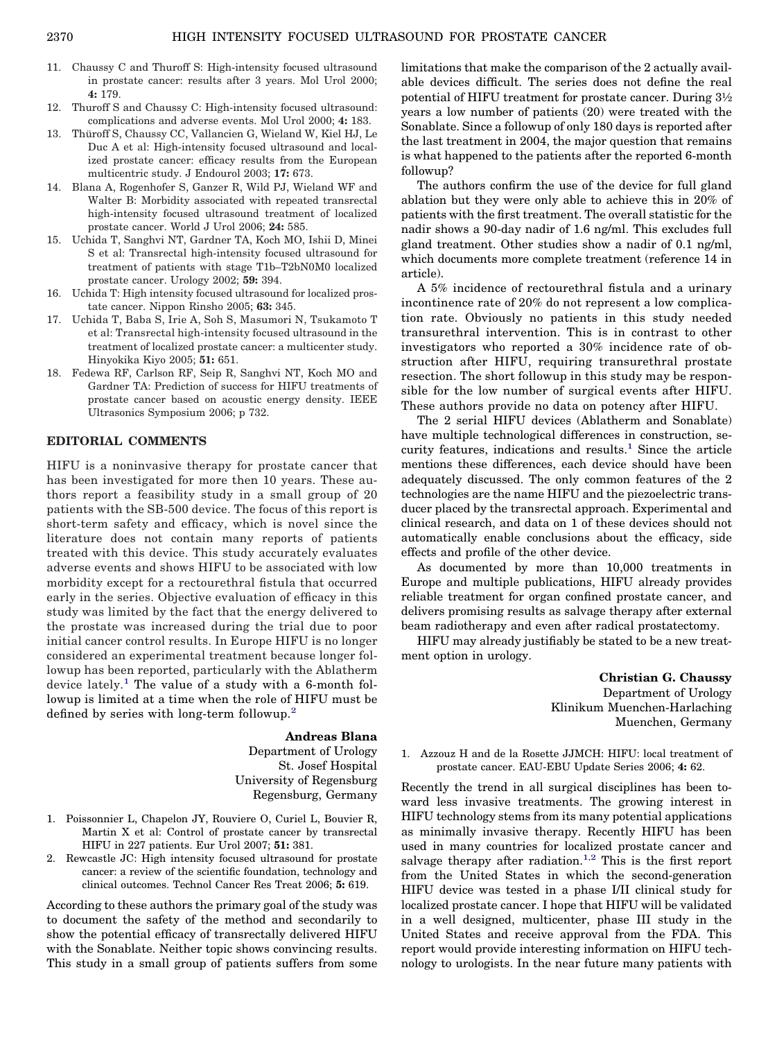- 11. Chaussy C and Thuroff S: High-intensity focused ultrasound in prostate cancer: results after 3 years. Mol Urol 2000; **4:** 179.
- 12. Thuroff S and Chaussy C: High-intensity focused ultrasound: complications and adverse events. Mol Urol 2000; **4:** 183.
- 13. Thüroff S, Chaussy CC, Vallancien G, Wieland W, Kiel HJ, Le Duc A et al: High-intensity focused ultrasound and localized prostate cancer: efficacy results from the European multicentric study. J Endourol 2003; **17:** 673.
- 14. Blana A, Rogenhofer S, Ganzer R, Wild PJ, Wieland WF and Walter B: Morbidity associated with repeated transrectal high-intensity focused ultrasound treatment of localized prostate cancer. World J Urol 2006; **24:** 585.
- 15. Uchida T, Sanghvi NT, Gardner TA, Koch MO, Ishii D, Minei S et al: Transrectal high-intensity focused ultrasound for treatment of patients with stage T1b–T2bN0M0 localized prostate cancer. Urology 2002; **59:** 394.
- 16. Uchida T: High intensity focused ultrasound for localized prostate cancer. Nippon Rinsho 2005; **63:** 345.
- 17. Uchida T, Baba S, Irie A, Soh S, Masumori N, Tsukamoto T et al: Transrectal high-intensity focused ultrasound in the treatment of localized prostate cancer: a multicenter study. Hinyokika Kiyo 2005; **51:** 651.
- 18. Fedewa RF, Carlson RF, Seip R, Sanghvi NT, Koch MO and Gardner TA: Prediction of success for HIFU treatments of prostate cancer based on acoustic energy density. IEEE Ultrasonics Symposium 2006; p 732.

## **EDITORIAL COMMENTS**

HIFU is a noninvasive therapy for prostate cancer that has been investigated for more then 10 years. These authors report a feasibility study in a small group of 20 patients with the SB-500 device. The focus of this report is short-term safety and efficacy, which is novel since the literature does not contain many reports of patients treated with this device. This study accurately evaluates adverse events and shows HIFU to be associated with low morbidity except for a rectourethral fistula that occurred early in the series. Objective evaluation of efficacy in this study was limited by the fact that the energy delivered to the prostate was increased during the trial due to poor initial cancer control results. In Europe HIFU is no longer considered an experimental treatment because longer followup has been reported, particularly with the Ablatherm device lately.<sup>1</sup> The value of a study with a 6-month followup is limited at a time when the role of HIFU must be defined by series with long-term followup.<sup>2</sup>

#### **Andreas Blana**

Department of Urology St. Josef Hospital University of Regensburg Regensburg, Germany

- 1. Poissonnier L, Chapelon JY, Rouviere O, Curiel L, Bouvier R, Martin X et al: Control of prostate cancer by transrectal HIFU in 227 patients. Eur Urol 2007; **51:** 381.
- 2. Rewcastle JC: High intensity focused ultrasound for prostate cancer: a review of the scientific foundation, technology and clinical outcomes. Technol Cancer Res Treat 2006; **5:** 619.

According to these authors the primary goal of the study was to document the safety of the method and secondarily to show the potential efficacy of transrectally delivered HIFU with the Sonablate. Neither topic shows convincing results. This study in a small group of patients suffers from some

limitations that make the comparison of the 2 actually available devices difficult. The series does not define the real potential of HIFU treatment for prostate cancer. During 3½ years a low number of patients (20) were treated with the Sonablate. Since a followup of only 180 days is reported after the last treatment in 2004, the major question that remains is what happened to the patients after the reported 6-month followup?

The authors confirm the use of the device for full gland ablation but they were only able to achieve this in 20% of patients with the first treatment. The overall statistic for the nadir shows a 90-day nadir of 1.6 ng/ml. This excludes full gland treatment. Other studies show a nadir of 0.1 ng/ml, which documents more complete treatment (reference 14 in article).

A 5% incidence of rectourethral fistula and a urinary incontinence rate of 20% do not represent a low complication rate. Obviously no patients in this study needed transurethral intervention. This is in contrast to other investigators who reported a 30% incidence rate of obstruction after HIFU, requiring transurethral prostate resection. The short followup in this study may be responsible for the low number of surgical events after HIFU. These authors provide no data on potency after HIFU.

The 2 serial HIFU devices (Ablatherm and Sonablate) have multiple technological differences in construction, security features, indications and results.<sup>1</sup> Since the article mentions these differences, each device should have been adequately discussed. The only common features of the 2 technologies are the name HIFU and the piezoelectric transducer placed by the transrectal approach. Experimental and clinical research, and data on 1 of these devices should not automatically enable conclusions about the efficacy, side effects and profile of the other device.

As documented by more than 10,000 treatments in Europe and multiple publications, HIFU already provides reliable treatment for organ confined prostate cancer, and delivers promising results as salvage therapy after external beam radiotherapy and even after radical prostatectomy.

HIFU may already justifiably be stated to be a new treatment option in urology.

> **Christian G. Chaussy** Department of Urology Klinikum Muenchen-Harlaching Muenchen, Germany

1. Azzouz H and de la Rosette JJMCH: HIFU: local treatment of prostate cancer. EAU-EBU Update Series 2006; **4:** 62.

Recently the trend in all surgical disciplines has been toward less invasive treatments. The growing interest in HIFU technology stems from its many potential applications as minimally invasive therapy. Recently HIFU has been used in many countries for localized prostate cancer and salvage therapy after radiation.<sup>1,2</sup> This is the first report from the United States in which the second-generation HIFU device was tested in a phase I/II clinical study for localized prostate cancer. I hope that HIFU will be validated in a well designed, multicenter, phase III study in the United States and receive approval from the FDA. This report would provide interesting information on HIFU technology to urologists. In the near future many patients with

<span id="page-4-0"></span>